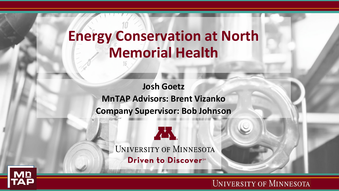## **Energy Conservation at North Memorial Health**

**Josh Goetz MnTAP Advisors: Brent Vizanko Company Supervisor: Bob Johnson**



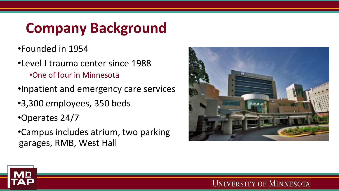# **Company Background**

- •Founded in 1954
- •Level I trauma center since 1988 •One of four in Minnesota
- •Inpatient and emergency care services
- •3,300 employees, 350 beds
- •Operates 24/7
- •Campus includes atrium, two parking garages, RMB, West Hall



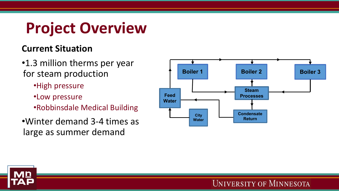# **Project Overview**

#### **Current Situation**

- •1.3 million therms per year for steam production
	- •High pressure
	- •Low pressure
	- •Robbinsdale Medical Building
- •Winter demand 3-4 times as large as summer demand



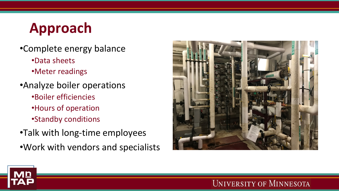## **Approach**

- •Complete energy balance
	- •Data sheets
	- •Meter readings
- •Analyze boiler operations
	- •Boiler efficiencies
	- •Hours of operation
	- •Standby conditions
- •Talk with long-time employees
- •Work with vendors and specialists



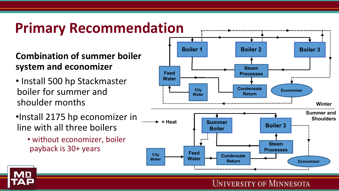## **Primary Recommendation**

#### **Combination of summer boiler system and economizer**

- Install 500 hp Stackmaster boiler for summer and shoulder months
- •Install 2175 hp economizer in line with all three boilers
	- without economizer, boiler payback is 30+ years



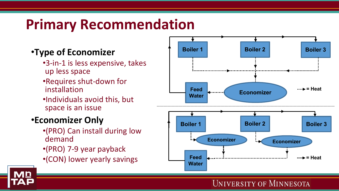## **Primary Recommendation**

#### •**Type of Economizer**

- •3-in-1 is less expensive, takes up less space
- •Requires shut-down for installation
- •Individuals avoid this, but space is an issue

#### •**Economizer Only**

- •(PRO) Can install during low demand
- •(PRO) 7-9 year payback
- •(CON) lower yearly savings

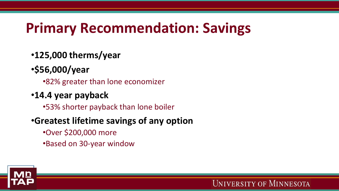## **Primary Recommendation: Savings**

- •**125,000 therms/year**
- •**\$56,000/year**
	- •82% greater than lone economizer
- •**14.4 year payback**
	- •53% shorter payback than lone boiler
- •**Greatest lifetime savings of any option**
	- •Over \$200,000 more
	- •Based on 30-year window

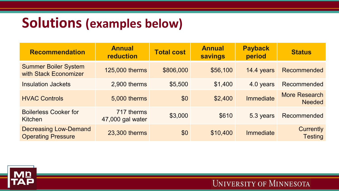#### **Solutions (examples below)**

| <b>Recommendation</b>                                     | <b>Annual</b><br>reduction     | <b>Total cost</b> | <b>Annual</b><br><b>savings</b> | <b>Payback</b><br>period | <b>Status</b>                         |
|-----------------------------------------------------------|--------------------------------|-------------------|---------------------------------|--------------------------|---------------------------------------|
| <b>Summer Boiler System</b><br>with Stack Economizer      | 125,000 therms                 | \$806,000         | \$56,100                        | 14.4 years               | Recommended                           |
| <b>Insulation Jackets</b>                                 | 2,900 therms                   | \$5,500           | \$1,400                         | 4.0 years                | Recommended                           |
| <b>HVAC Controls</b>                                      | 5,000 therms                   | \$0               | \$2,400                         | <b>Immediate</b>         | <b>More Research</b><br><b>Needed</b> |
| <b>Boilerless Cooker for</b><br>Kitchen                   | 717 therms<br>47,000 gal water | \$3,000           | \$610                           | 5.3 years                | Recommended                           |
| <b>Decreasing Low-Demand</b><br><b>Operating Pressure</b> | 23,300 therms                  | \$0               | \$10,400                        | Immediate                | <b>Currently</b><br><b>Testing</b>    |